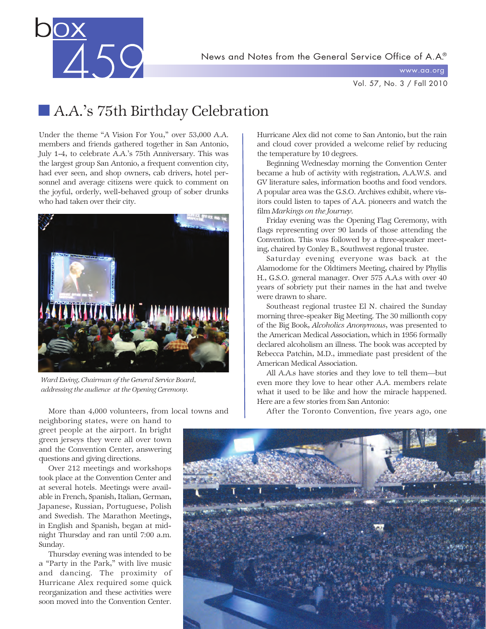News and Notes from the General Service Office of A.A.®



www.aa.org

Vol. 57, No. 3 / Fall 2010

# **A.A.'s 75th Birthday Celebration**

Under the theme "A Vision For You," over 53,000 A.A. members and friends gathered together in San Antonio, July 1-4, to celebrate A.A.'s 75th Anniversary. This was the largest group San Antonio, a frequent convention city, had ever seen, and shop owners, cab drivers, hotel personnel and average citizens were quick to comment on the joyful, orderly, well-behaved group of sober drunks who had taken over their city.



*Ward Ewing, Chairman of the General Service Board, addressing the audience at the Opening Ceremony.*

More than 4,000 volunteers, from local towns and

neighboring states, were on hand to greet people at the airport. In bright green jerseys they were all over town and the Convention Center, answering questions and giving directions.

Over 212 meetings and workshops took place at the Convention Center and at several hotels. Meetings were available in French, Spanish, Italian, German, Japanese, Russian, Portuguese, Polish and Swedish. The Marathon Meetings, in English and Spanish, began at midnight Thursday and ran until 7:00 a.m. Sunday.

Thursday evening was intended to be a "Party in the Park," with live music and dancing. The proximity of Hurricane Alex required some quick reorganization and these activities were soon moved into the Convention Center.

Hurricane Alex did not come to San Antonio, but the rain and cloud cover provided a welcome relief by reducing the temperature by 10 degrees.

Beginning Wednesday morning the Convention Center became a hub of activity with registration, A.A.W.S. and GV literature sales, information booths and food vendors. A popular area was the G.S.O. Archives exhibit, where visitors could listen to tapes of A.A. pioneers and watch the film *Markings on the Journey.*

Friday evening was the Opening Flag Ceremony, with flags representing over 90 lands of those attending the Convention. This was followed by a three-speaker meeting, chaired by Conley B., Southwest regional trustee.

Saturday evening everyone was back at the Alamodome for the Oldtimers Meeting, chaired by Phyllis H., G.S.O. general manager. Over 575 A.A.s with over 40 years of sobriety put their names in the hat and twelve were drawn to share.

Southeast regional trustee El N. chaired the Sunday morning three-speaker Big Meeting. The 30 millionth copy of the Big Book, *Alcoholics Anonymous*, was presented to the American Medical Association, which in 1956 formally declared alcoholism an illness. The book was accepted by Rebecca Patchin, M.D., immediate past president of the American Medical Association.

All A.A.s have stories and they love to tell them—but even more they love to hear other A.A. members relate what it used to be like and how the miracle happened. Here are a few stories from San Antonio:

After the Toronto Convention, five years ago, one

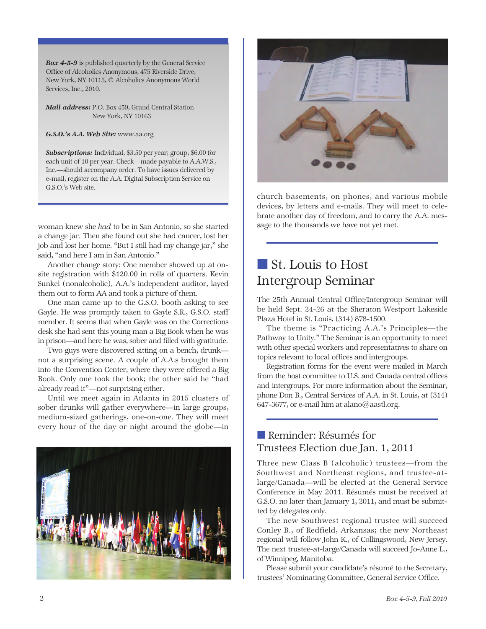*Box 4-5-9* is published quarterly by the General Service Office of Alcoholics Anonymous, 475 Riverside Drive, New York, NY 10115, © Alcoholics Anonymous World Services, Inc., 2010.

*Mail address:* P.O. Box 459, Grand Central Station New York, NY 10163

*G.S.O.'s A.A. Web Site:* www.aa.org

*Subscriptions:* Individual, \$3.50 per year; group, \$6.00 for each unit of 10 per year. Check—made payable to A.A.W.S., Inc.—should accompany order. To have issues delivered by e-mail, register on the A.A. Digital Subscription Service on G.S.O.'s Web site.

woman knew she *had* to be in San Antonio, so she started a change jar. Then she found out she had cancer, lost her job and lost her home. "But I still had my change jar," she said, "and here I am in San Antonio."

Another change story: One member showed up at onsite registration with \$120.00 in rolls of quarters. Kevin Sunkel (nonalcoholic), A.A.'s independent auditor, layed them out to form AA and took a picture of them.

One man came up to the G.S.O. booth asking to see Gayle. He was promptly taken to Gayle S.R., G.S.O. staff member. It seems that when Gayle was on the Corrections desk she had sent this young man a Big Book when he was in prison—and here he was, sober and filled with gratitude.

Two guys were discovered sitting on a bench, drunk not a surprising scene. A couple of A.A.s brought them into the Convention Center, where they were offered a Big Book. Only one took the book; the other said he "had already read it"—not surprising either.

Until we meet again in Atlanta in 2015 clusters of sober drunks will gather everywhere—in large groups, medium-sized gatherings, one-on-one. They will meet every hour of the day or night around the globe—in





church basements, on phones, and various mobile devices, by letters and e-mails. They will meet to celebrate another day of freedom, and to carry the A.A. message to the thousands we have not yet met.

# ■ St. Louis to Host Intergroup Seminar

The 25th Annual Central Office/Intergroup Seminar will be held Sept. 24-26 at the Sheraton Westport Lakeside Plaza Hotel in St. Louis, (314) 878-1500.

The theme is "Practicing A.A.'s Principles—the Pathway to Unity." The Seminar is an opportunity to meet with other special workers and representatives to share on topics relevant to local offices and intergroups.

Registration forms for the event were mailed in March from the host committee to U.S. and Canada central offices and intergroups. For more information about the Seminar, phone Don B., Central Services of A.A. in St. Louis, at (314) 647-3677, or e-mail him at alano@aastl.org.

### ■ Reminder: Résumés for Trustees Election due Jan. 1, 2011

Three new Class B (alcoholic) trustees—from the Southwest and Northeast regions, and trustee-atlarge/Canada—will be elected at the General Service Conference in May 2011. Résumés must be received at G.S.O. no later than January 1, 2011, and must be submitted by delegates only.

The new Southwest regional trustee will succeed Conley B., of Redfield, Arkansas; the new Northeast regional will follow John K., of Collingswood, New Jersey. The next trustee-at-large/Canada will succeed Jo-Anne L., of Winnipeg, Manitoba.

Please submit your candidate's résumé to the Secretary, trustees' Nominating Committee, General Service Office.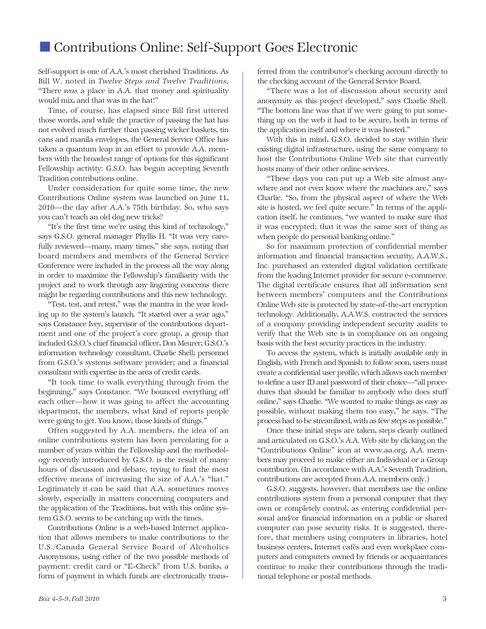### ■ Contributions Online: Self-Support Goes Electronic

Self-support is one of A.A.'s most cherished Traditions. As Bill W. noted in *Twelve Steps and Twelve Traditions,* "There *was* a place in A.A. that money and spirituality would mix, and that was in the hat!"

Time, of course, has elapsed since Bill first uttered those words, and while the practice of passing the hat has not evolved much further than passing wicker baskets, tin cans and manila envelopes, the General Service Office has taken a quantum leap in an effort to provide A.A. members with the broadest range of options for this significant Fellowship activity: G.S.O. has begun accepting Seventh Tradition contributions online.

Under consideration for quite some time, the new Contributions Online system was launched on June 11, 2010—the day after A.A.'s 75th birthday. So, who says you can't teach an old dog new tricks?

"It's the first time we're using this kind of technology," says G.S.O. general manager Phyllis H. "It was very carefully reviewed—many, many times," she says, noting that board members and members of the General Service Conference were included in the process all the way along in order to maximize the Fellowship's familiarity with the project and to work through any lingering concerns there might be regarding contributions and this new technology.

"Test, test, and retest," was the mantra in the year leading up to the system's launch. "It started over a year ago," says Constance Ivey, supervisor of the contributions department and one of the project's core group, a group that included G.S.O.'s chief financial officer, Don Meurer; G.S.O.'s information technology consultant, Charlie Shell; personnel from G.S.O.'s systems software provider; and a financial consultant with expertise in the area of credit cards.

"It took time to walk everything through from the beginning," says Constance. "We bounced everything off each other—how it was going to affect the accounting department, the members, what kind of reports people were going to get. You know, those kinds of things."

Often suggested by A.A. members, the idea of an online contributions system has been percolating for a number of years within the Fellowship and the methodology recently introduced by G.S.O. is the result of many hours of discussion and debate, trying to find the most effective means of increasing the size of A.A.'s "hat." Legitimately it can be said that A.A. sometimes moves slowly, especially in matters concerning computers and the application of the Traditions, but with this online system G.S.O. seems to be catching up with the times.

Contributions Online is a web-based Internet application that allows members to make contributions to the U.S./Canada General Service Board of Alcoholics Anonymous, using either of the two possible methods of payment: credit card or "E-Check" from U.S. banks, a form of payment in which funds are electronically transferred from the contributor's checking account directly to the checking account of the General Service Board.

"There was a lot of discussion about security and anonymity as this project developed," says Charlie Shell. "The bottom line was that if we were going to put something up on the web it had to be secure, both in terms of the application itself and where it was hosted."

With this in mind, G.S.O. decided to stay within their existing digital infrastructure, using the same company to host the Contributions Online Web site that currently hosts many of their other online services.

"These days you can put up a Web site almost anywhere and not even know where the machines are," says Charlie. "So, from the physical aspect of where the Web site is hosted, we feel quite secure." In terms of the application itself, he continues, "we wanted to make sure that it was encrypted; that it was the same sort of thing as when people do personal banking online."

So for maximum protection of confidential member information and financial transaction security, A.A.W.S., Inc. purchased an extended digital validation certificate from the leading Internet provider for secure e-commerce. The digital certificate ensures that all information sent between members' computers and the Contributions Online Web site is protected by state-of-the-art encryption technology. Additionally, A.A.W.S. contracted the services of a company providing independent security audits to verify that the Web site is in compliance on an ongoing basis with the best security practices in the industry.

To access the system, which is initially available only in English, with French and Spanish to follow soon, users must create a confidential user profile, which allows each member to define a user ID and password of their choice—"all procedures that should be familiar to anybody who does stuff online," says Charlie. "We wanted to make things as easy as possible, without making them too easy," he says. "The process had to be streamlined, with as few steps as possible."

Once these initial steps are taken, steps clearly outlined and articulated on G.S.O.'s A.A. Web site by clicking on the "Contributions Online" icon at www.aa.org, A.A. members may proceed to make either an Individual or a Group contribution. (In accordance with A.A.'s Seventh Tradition, contributions are accepted from A.A. members only.)

G.S.O. suggests, however, that members use the online contributions system from a personal computer that they own or completely control, as entering confidential personal and/or financial information on a public or shared computer can pose security risks. It is suggested, therefore, that members using computers in libraries, hotel business centers, Internet cafés and even workplace computers and computers owned by friends or acquaintances continue to make their contributions through the traditional telephone or postal methods.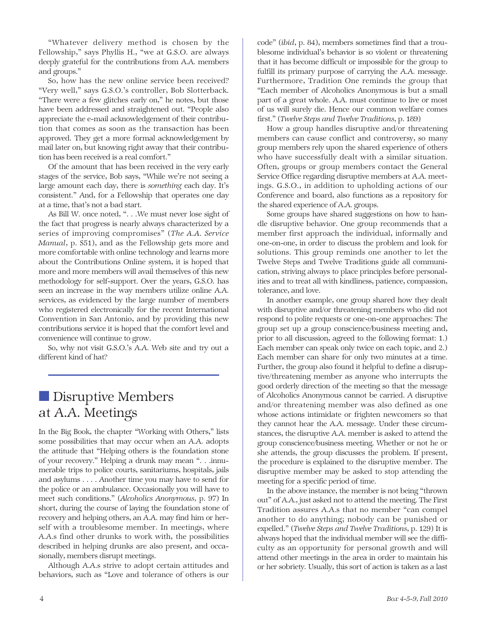"Whatever delivery method is chosen by the Fellowship," says Phyllis H., "we at G.S.O. are always deeply grateful for the contributions from A.A. members and groups."

So, how has the new online service been received? "Very well," says G.S.O.'s controller, Bob Slotterback. "There were a few glitches early on," he notes, but those have been addressed and straightened out. "People also appreciate the e-mail acknowledgement of their contribution that comes as soon as the transaction has been approved. They get a more formal acknowledgement by mail later on, but knowing right away that their contribution has been received is a real comfort."

Of the amount that has been received in the very early stages of the service, Bob says, "While we're not seeing a large amount each day, there is *something* each day. It's consistent." And, for a Fellowship that operates one day at a time, that's not a bad start.

As Bill W. once noted, ". . .We must never lose sight of the fact that progress is nearly always characterized by a series of improving compromises" (*The A.A. Service Manual*, p. S51), and as the Fellowship gets more and more comfortable with online technology and learns more about the Contributions Online system, it is hoped that more and more members will avail themselves of this new methodology for self-support. Over the years, G.S.O. has seen an increase in the way members utilize online A.A. services, as evidenced by the large number of members who registered electronically for the recent International Convention in San Antonio, and by providing this new contributions service it is hoped that the comfort level and convenience will continue to grow.

So, why not visit G.S.O.'s A.A. Web site and try out a different kind of hat?

# ■ Disruptive Members at A.A. Meetings

In the Big Book, the chapter "Working with Others," lists some possibilities that may occur when an A.A. adopts the attitude that "Helping others is the foundation stone of your recovery." Helping a drunk may mean ". . .innumerable trips to police courts, sanitariums, hospitals, jails and asylums . . . . Another time you may have to send for the police or an ambulance. Occasionally you will have to meet such conditions." (*Alcoholics Anonymous,* p. 97) In short, during the course of laying the foundation stone of recovery and helping others, an A.A. may find him or herself with a troublesome member. In meetings, where A.A.s find other drunks to work with, the possibilities described in helping drunks are also present, and occasionally, members disrupt meetings.

Although A.A.s strive to adopt certain attitudes and behaviors, such as "Love and tolerance of others is our code" (*ibid*, p. 84), members sometimes find that a troublesome individual's behavior is so violent or threatening that it has become difficult or impossible for the group to fulfill its primary purpose of carrying the A.A. message. Furthermore, Tradition One reminds the group that "Each member of Alcoholics Anonymous is but a small part of a great whole. A.A. must continue to live or most of us will surely die. Hence our common welfare comes first." (*Twelve Steps and Twelve Traditions,* p. 189)

How a group handles disruptive and/or threatening members can cause conflict and controversy, so many group members rely upon the shared experience of others who have successfully dealt with a similar situation. Often, groups or group members contact the General Service Office regarding disruptive members at A.A. meetings. G.S.O., in addition to upholding actions of our Conference and board, also functions as a repository for the shared experience of A.A. groups.

Some groups have shared suggestions on how to handle disruptive behavior. One group recommends that a member first approach the individual, informally and one-on-one, in order to discuss the problem and look for solutions. This group reminds one another to let the Twelve Steps and Twelve Traditions guide all communication, striving always to place principles before personalities and to treat all with kindliness, patience, compassion, tolerance, and love.

In another example, one group shared how they dealt with disruptive and/or threatening members who did not respond to polite requests or one-on-one approaches: The group set up a group conscience/business meeting and, prior to all discussion, agreed to the following format: 1.) Each member can speak only twice on each topic, and 2.) Each member can share for only two minutes at a time. Further, the group also found it helpful to define a disruptive/threatening member as anyone who interrupts the good orderly direction of the meeting so that the message of Alcoholics Anonymous cannot be carried. A disruptive and/or threatening member was also defined as one whose actions intimidate or frighten newcomers so that they cannot hear the A.A. message. Under these circumstances, the disruptive A.A. member is asked to attend the group conscience/business meeting. Whether or not he or she attends, the group discusses the problem. If present, the procedure is explained to the disruptive member. The disruptive member may be asked to stop attending the meeting for a specific period of time.

In the above instance, the member is not being "thrown out" of A.A., just asked not to attend the meeting. The First Tradition assures A.A.s that no member "can compel another to do anything; nobody can be punished or expelled." (*Twelve Steps and Twelve Traditions*, p. 129) It is always hoped that the individual member will see the difficulty as an opportunity for personal growth and will attend other meetings in the area in order to maintain his or her sobriety. Usually, this sort of action is taken as a last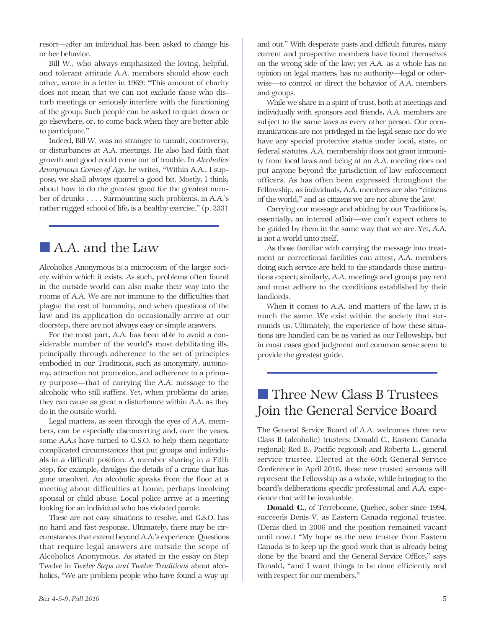resort—after an individual has been asked to change his or her behavior.

Bill W., who always emphasized the loving, helpful, and tolerant attitude A.A. members should show each other, wrote in a letter in 1969: "This amount of charity does not mean that we can not exclude those who disturb meetings or seriously interfere with the functioning of the group. Such people can be asked to quiet down or go elsewhere, or, to come back when they are better able to participate."

Indeed, Bill W. was no stranger to tumult, controversy, or disturbances at A.A. meetings. He also had faith that growth and good could come out of trouble. In *Alcoholics Anonymous Comes of Age*, he writes, "Within A.A., I suppose, we shall always quarrel a good bit. Mostly, I think, about how to do the greatest good for the greatest number of drunks . . . . Surmounting such problems, in A.A.'s rather rugged school of life, is a healthy exercise." (p. 233)

### ■ A.A. and the Law

Alcoholics Anonymous is a microcosm of the larger society within which it exists. As such, problems often found in the outside world can also make their way into the rooms of A.A. We are not immune to the difficulties that plague the rest of humanity, and when questions of the law and its application do occasionally arrive at our doorstep, there are not always easy or simple answers.

For the most part, A.A. has been able to avoid a considerable number of the world's most debilitating ills, principally through adherence to the set of principles embodied in our Traditions, such as anonymity, autonomy, attraction not promotion, and adherence to a primary purpose—that of carrying the A.A. message to the alcoholic who still suffers. Yet, when problems do arise, they can cause as great a disturbance within A.A. as they do in the outside world.

Legal matters, as seen through the eyes of A.A. members, can be especially disconcerting and, over the years, some A.A.s have turned to G.S.O. to help them negotiate complicated circumstances that put groups and individuals in a difficult position. A member sharing in a Fifth Step, for example, divulges the details of a crime that has gone unsolved. An alcoholic speaks from the floor at a meeting about difficulties at home, perhaps involving spousal or child abuse. Local police arrive at a meeting looking for an individual who has violated parole.

These are not easy situations to resolve, and G.S.O. has no hard and fast response. Ultimately, there may be circumstances that extend beyond A.A.'s experience. Questions that require legal answers are outside the scope of Alcoholics Anonymous. As stated in the essay on Step Twelve in *Twelve Steps and Twelve Traditions* about alcoholics, "We are problem people who have found a way up and out." With desperate pasts and difficult futures, many current and prospective members have found themselves on the wrong side of the law; yet A.A. as a whole has no opinion on legal matters, has no authority—legal or otherwise—to control or direct the behavior of A.A. members and groups.

While we share in a spirit of trust, both at meetings and individually with sponsors and friends, A.A. members are subject to the same laws as every other person. Our communications are not privileged in the legal sense nor do we have any special protective status under local, state, or federal statutes. A.A. membership does not grant immunity from local laws and being at an A.A. meeting does not put anyone beyond the jurisdiction of law enforcement officers. As has often been expressed throughout the Fellowship, as individuals, A.A. members are also "citizens of the world," and as citizens we are not above the law.

Carrying our message and abiding by our Traditions is, essentially, an internal affair—we can't expect others to be guided by them in the same way that we are. Yet, A.A. is not a world unto itself.

As those familiar with carrying the message into treatment or correctional facilities can attest, A.A. members doing such service are held to the standards those institutions expect; similarly, A.A. meetings and groups pay rent and must adhere to the conditions established by their landlords.

When it comes to A.A. and matters of the law, it is much the same. We exist within the society that surrounds us. Ultimately, the experience of how these situations are handled can be as varied as our Fellowship, but in most cases good judgment and common sense seem to provide the greatest guide.

# ■ Three New Class B Trustees Join the General Service Board

The General Service Board of A.A. welcomes three new Class B (alcoholic) trustees: Donald C., Eastern Canada regional; Rod B., Pacific regional; and Roberta L., general service trustee. Elected at the 60th General Service Conference in April 2010, these new trusted servants will represent the Fellowship as a whole, while bringing to the board's deliberations specific professional and A.A. experience that will be invaluable.

Donald C., of Terrebonne, Quebec, sober since 1994, succeeds Denis V. as Eastern Canada regional trustee. (Denis died in 2006 and the position remained vacant until now.) "My hope as the new trustee from Eastern Canada is to keep up the good work that is already being done by the board and the General Service Office," says Donald, "and I want things to be done efficiently and with respect for our members."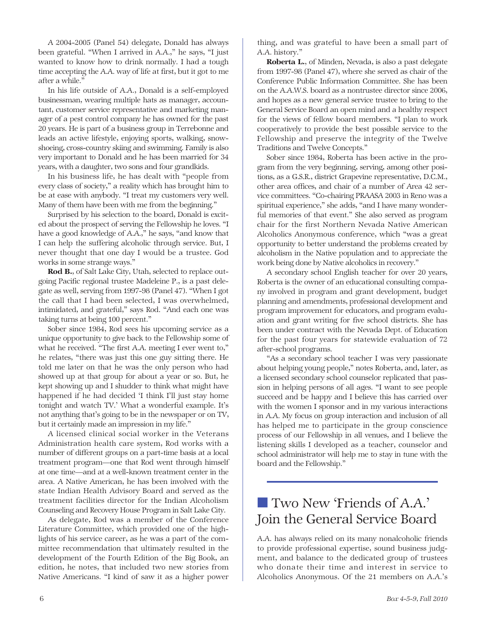A 2004-2005 (Panel 54) delegate, Donald has always been grateful. "When I arrived in A.A.," he says, "I just wanted to know how to drink normally. I had a tough time accepting the A.A. way of life at first, but it got to me after a while."

In his life outside of A.A., Donald is a self-employed businessman, wearing multiple hats as manager, accountant, customer service representative and marketing manager of a pest control company he has owned for the past 20 years. He is part of a business group in Terrebonne and leads an active lifestyle, enjoying sports, walking, snowshoeing, cross-country skiing and swimming. Family is also very important to Donald and he has been married for 34 years, with a daughter, two sons and four grandkids.

In his business life, he has dealt with "people from every class of society," a reality which has brought him to be at ease with anybody. "I treat my customers very well. Many of them have been with me from the beginning."

Surprised by his selection to the board, Donald is excited about the prospect of serving the Fellowship he loves. "I have a good knowledge of A.A.," he says, "and know that I can help the suffering alcoholic through service. But, I never thought that one day I would be a trustee. God works in some strange ways."

Rod B., of Salt Lake City, Utah, selected to replace outgoing Pacific regional trustee Madeleine P., is a past delegate as well, serving from 1997-98 (Panel 47). "When I got the call that I had been selected, I was overwhelmed, intimidated, and grateful," says Rod. "And each one was taking turns at being 100 percent."

Sober since 1984, Rod sees his upcoming service as a unique opportunity to give back to the Fellowship some of what he received. "The first A.A. meeting I ever went to," he relates, "there was just this one guy sitting there. He told me later on that he was the only person who had showed up at that group for about a year or so. But, he kept showing up and I shudder to think what might have happened if he had decided 'I think I'll just stay home tonight and watch TV.' What a wonderful example. It's not anything that's going to be in the newspaper or on TV, but it certainly made an impression in my life."

A licensed clinical social worker in the Veterans Administration health care system, Rod works with a number of different groups on a part-time basis at a local treatment program—one that Rod went through himself at one time—and at a well-known treatment center in the area. A Native American, he has been involved with the state Indian Health Advisory Board and served as the treatment facilities director for the Indian Alcoholism Counseling and Recovery House Program in Salt Lake City.

As delegate, Rod was a member of the Conference Literature Committee, which provided one of the highlights of his service career, as he was a part of the committee recommendation that ultimately resulted in the development of the Fourth Edition of the Big Book, an edition, he notes, that included two new stories from Native Americans. "I kind of saw it as a higher power thing, and was grateful to have been a small part of A.A. history."

Roberta L., of Minden, Nevada, is also a past delegate from 1997-98 (Panel 47), where she served as chair of the Conference Public Information Committee. She has been on the A.A.W.S. board as a nontrustee director since 2006, and hopes as a new general service trustee to bring to the General Service Board an open mind and a healthy respect for the views of fellow board members. "I plan to work cooperatively to provide the best possible service to the Fellowship and preserve the integrity of the Twelve Traditions and Twelve Concepts."

Sober since 1984, Roberta has been active in the program from the very beginning, serving, among other positions, as a G.S.R., district Grapevine representative, D.C.M., other area offices, and chair of a number of Area 42 service committees. "Co-chairing PRAASA 2003 in Reno was a spiritual experience," she adds, "and I have many wonderful memories of that event." She also served as program chair for the first Northern Nevada Native American Alcoholics Anonymous conference, which "was a great opportunity to better understand the problems created by alcoholism in the Native population and to appreciate the work being done by Native alcoholics in recovery."

A secondary school English teacher for over 20 years, Roberta is the owner of an educational consulting company involved in program and grant development, budget planning and amendments, professional development and program improvement for educators, and program evaluation and grant writing for five school districts. She has been under contract with the Nevada Dept. of Education for the past four years for statewide evaluation of 72 after-school programs.

"As a secondary school teacher I was very passionate about helping young people," notes Roberta, and, later, as a licensed secondary school counselor replicated that passion in helping persons of all ages. "I want to see people succeed and be happy and I believe this has carried over with the women I sponsor and in my various interactions in A.A. My focus on group interaction and inclusion of all has helped me to participate in the group conscience process of our Fellowship in all venues, and I believe the listening skills I developed as a teacher, counselor and school administrator will help me to stay in tune with the board and the Fellowship."

# ■ Two New 'Friends of A.A.' Join the General Service Board

A.A. has always relied on its many nonalcoholic friends to provide professional expertise, sound business judgment, and balance to the dedicated group of trustees who donate their time and interest in service to Alcoholics Anonymous. Of the 21 members on A.A.'s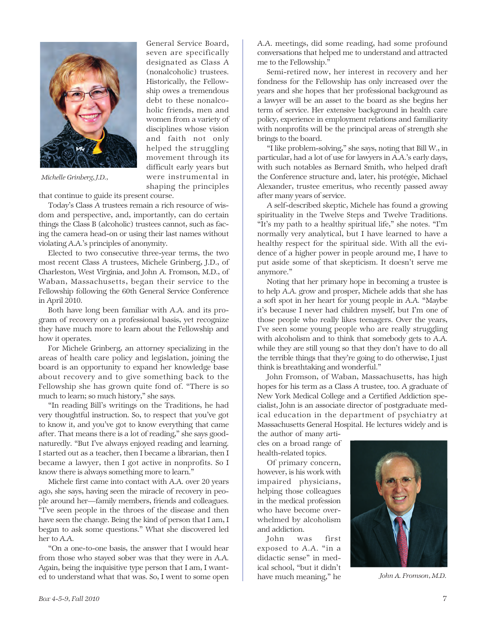

General Service Board, seven are specifically designated as Class A (nonalcoholic) trustees. Historically, the Fellow ship owes a tremendous debt to these nonalcoholic friends, men and women from a variety of disciplines whose vision and faith not only helped the struggling movement through its difficult early years but were instrumental in shaping the principles

*Michelle Grinberg, J.D.,*

that continue to guide its present course.

Today's Class A trustees remain a rich resource of wisdom and perspective, and, importantly, can do certain things the Class B (alcoholic) trustees cannot, such as facing the camera head-on or using their last names without violating A.A.'s principles of anonymity.

Elected to two consecutive three-year terms, the two most recent Class A trustees, Michele Grinberg, J.D., of Charleston, West Virginia, and John A. Fromson, M.D., of Waban, Massachusetts, began their service to the Fellowship following the 60th General Service Conference in April 2010.

Both have long been familiar with A.A. and its program of recovery on a professional basis, yet recognize they have much more to learn about the Fellowship and how it operates.

For Michele Grinberg, an attorney specializing in the areas of health care policy and legislation, joining the board is an opportunity to expand her knowledge base about recovery and to give something back to the Fellowship she has grown quite fond of. "There is so much to learn; so much history," she says.

"In reading Bill's writings on the Traditions, he had very thoughtful instruction. So, to respect that you've got to know it, and you've got to know everything that came after. That means there is a lot of reading," she says goodnaturedly. "But I've always enjoyed reading and learning. I started out as a teacher, then I became a librarian, then I became a lawyer, then I got active in nonprofits. So I know there is always something more to learn."

Michele first came into contact with A.A. over 20 years ago, she says, having seen the miracle of recovery in people around her—family members, friends and colleagues. "I've seen people in the throes of the disease and then have seen the change. Being the kind of person that I am, I began to ask some questions." What she discovered led her to A.A.

"On a one-to-one basis, the answer that I would hear from those who stayed sober was that they were in A.A. Again, being the inquisitive type person that I am, I wanted to understand what that was. So, I went to some open A.A. meetings, did some reading, had some profound conversations that helped me to understand and attracted me to the Fellowship."

Semi-retired now, her interest in recovery and her fondness for the Fellowship has only increased over the years and she hopes that her professional background as a lawyer will be an asset to the board as she begins her term of service. Her extensive background in health care policy, experience in employment relations and familiarity with nonprofits will be the principal areas of strength she brings to the board.

"I like problem-solving," she says, noting that Bill W., in particular, had a lot of use for lawyers in A.A.'s early days, with such notables as Bernard Smith, who helped draft the Conference structure and, later, his protégée, Michael Alexander, trustee emeritus, who recently passed away after many years of service.

A self-described skeptic, Michele has found a growing spirituality in the Twelve Steps and Twelve Traditions. "It's my path to a healthy spiritual life," she notes. "I'm normally very analytical, but I have learned to have a healthy respect for the spiritual side. With all the evidence of a higher power in people around me, I have to put aside some of that skepticism. It doesn't serve me anymore."

Noting that her primary hope in becoming a trustee is to help A.A. grow and prosper, Michele adds that she has a soft spot in her heart for young people in A.A. "Maybe it's because I never had children myself, but I'm one of those people who really likes teenagers. Over the years, I've seen some young people who are really struggling with alcoholism and to think that somebody gets to A.A. while they are still young so that they don't have to do all the terrible things that they're going to do otherwise, I just think is breathtaking and wonderful."

John Fromson, of Waban, Massachusetts, has high hopes for his term as a Class A trustee, too. A graduate of New York Medical College and a Certified Addiction specialist, John is an associate director of postgraduate medical education in the department of psychiatry at Massachusetts General Hospital. He lectures widely and is

the author of many articles on a broad range of health-related topics.

Of primary concern, however, is his work with impaired physicians, helping those colleagues in the medical profession who have become overwhelmed by alcoholism and addiction.

John was first exposed to A.A. "in a didactic sense" in medical school, "but it didn't have much meaning," he



*John A. Fromson, M.D.*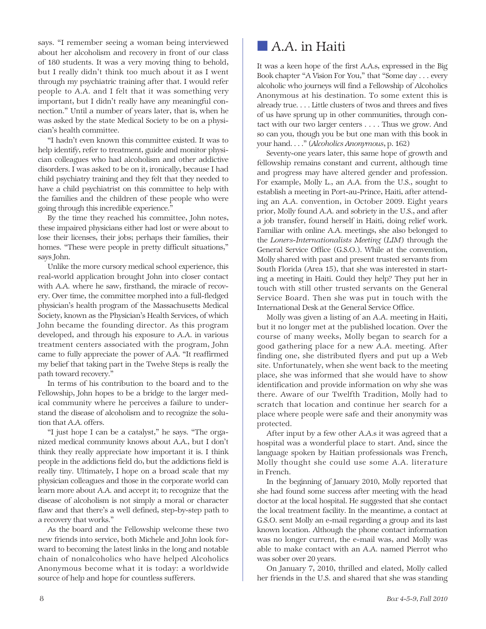says. "I remember seeing a woman being interviewed about her alcoholism and recovery in front of our class of 180 students. It was a very moving thing to behold, but I really didn't think too much about it as I went through my psychiatric training after that. I would refer people to A.A. and I felt that it was something very important, but I didn't really have any meaningful connection." Until a number of years later, that is, when he was asked by the state Medical Society to be on a physician's health committee.

"I hadn't even known this committee existed. It was to help identify, refer to treatment, guide and monitor physician colleagues who had alcoholism and other addictive disorders. I was asked to be on it, ironically, because I had child psychiatry training and they felt that they needed to have a child psychiatrist on this committee to help with the families and the children of these people who were going through this incredible experience."

By the time they reached his committee, John notes, these impaired physicians either had lost or were about to lose their licenses, their jobs; perhaps their families, their homes. "These were people in pretty difficult situations," says John.

Unlike the more cursory medical school experience, this real-world application brought John into closer contact with A.A. where he saw, firsthand, the miracle of recovery. Over time, the committee morphed into a full-fledged physician's health program of the Massachusetts Medical Society, known as the Physician's Health Services, of which John became the founding director. As this program developed, and through his exposure to A.A. in various treatment centers associated with the program, John came to fully appreciate the power of A.A. "It reaffirmed my belief that taking part in the Twelve Steps is really the path toward recovery."

In terms of his contribution to the board and to the Fellowship, John hopes to be a bridge to the larger medical community where he perceives a failure to understand the disease of alcoholism and to recognize the solution that A.A. offers.

"I just hope I can be a catalyst," he says. "The organized medical community knows about A.A., but I don't think they really appreciate how important it is. I think people in the addictions field do, but the addictions field is really tiny. Ultimately, I hope on a broad scale that my physician colleagues and those in the corporate world can learn more about A.A. and accept it; to recognize that the disease of alcoholism is not simply a moral or character flaw and that there's a well defined, step-by-step path to a recovery that works."

As the board and the Fellowship welcome these two new friends into service, both Michele and John look forward to becoming the latest links in the long and notable chain of nonalcoholics who have helped Alcoholics Anonymous become what it is today: a worldwide source of help and hope for countless sufferers.

### ■ A.A. in Haiti

It was a keen hope of the first A.A.s, expressed in the Big Book chapter "A Vision For You," that "Some day . . . every alcoholic who journeys will find a Fellowship of Alcoholics Anonymous at his destination. To some extent this is already true. . . . Little clusters of twos and threes and fives of us have sprung up in other communities, through contact with our two larger centers . . . . Thus we grow. And so can you, though you be but one man with this book in your hand. . . ." (*Alcoholics Anonymous*, p. 162)

Seventy-one years later, this same hope of growth and fellowship remains constant and current, although time and progress may have altered gender and profession. For example, Molly L., an A.A. from the U.S., sought to establish a meeting in Port-au-Prince, Haiti, after attending an A.A. convention, in October 2009. Eight years prior, Molly found A.A. and sobriety in the U.S., and after a job transfer, found herself in Haiti, doing relief work. Familiar with online A.A. meetings, she also belonged to the *Loners-Internationalists Meeting* (*LIM*) through the General Service Office (G.S.O.). While at the convention, Molly shared with past and present trusted servants from South Florida (Area 15), that she was interested in starting a meeting in Haiti. Could they help? They put her in touch with still other trusted servants on the General Service Board. Then she was put in touch with the International Desk at the General Service Office.

Molly was given a listing of an A.A. meeting in Haiti, but it no longer met at the published location. Over the course of many weeks, Molly began to search for a good gathering place for a new A.A. meeting. After finding one, she distributed flyers and put up a Web site. Unfortunately, when she went back to the meeting place, she was informed that she would have to show identification and provide information on why she was there. Aware of our Twelfth Tradition, Molly had to scratch that location and continue her search for a place where people were safe and their anonymity was protected.

After input by a few other A.A.s it was agreed that a hospital was a wonderful place to start. And, since the language spoken by Haitian professionals was French, Molly thought she could use some A.A. literature in French.

In the beginning of January 2010, Molly reported that she had found some success after meeting with the head doctor at the local hospital. He suggested that she contact the local treatment facility. In the meantime, a contact at G.S.O. sent Molly an e-mail regarding a group and its last known location. Although the phone contact information was no longer current, the e-mail was, and Molly was able to make contact with an A.A. named Pierrot who was sober over 20 years.

On January 7, 2010, thrilled and elated, Molly called her friends in the U.S. and shared that she was standing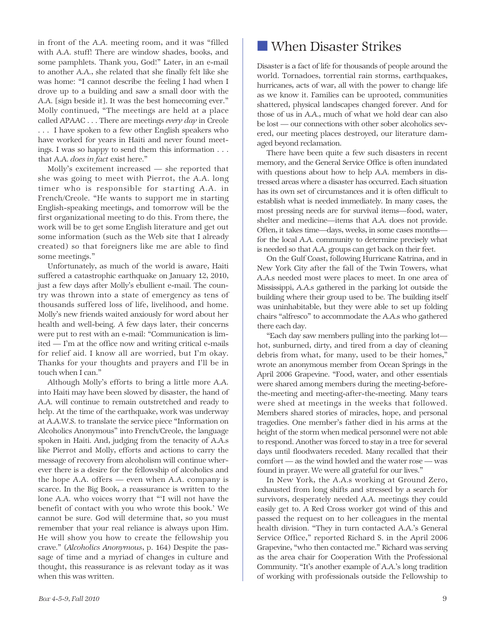in front of the A.A. meeting room, and it was "filled with A.A. stuff! There are window shades, books, and some pamphlets. Thank you, God!" Later, in an e-mail to another A.A., she related that she finally felt like she was home: "I cannot describe the feeling I had when I drove up to a building and saw a small door with the A.A. [sign beside it]. It was the best homecoming ever." Molly continued, "The meetings are held at a place called APAAC . . . There are meetings *every day* in Creole . . . I have spoken to a few other English speakers who have worked for years in Haiti and never found meetings. I was so happy to send them this information . . . that A.A. *does in fact* exist here."

Molly's excitement increased — she reported that she was going to meet with Pierrot, the A.A. long timer who is responsible for starting A.A. in French/Creole. "He wants to support me in starting English-speaking meetings, and tomorrow will be the first organizational meeting to do this. From there, the work will be to get some English literature and get out some information (such as the Web site that I already created) so that foreigners like me are able to find some meetings."

Unfortunately, as much of the world is aware, Haiti suffered a catastrophic earthquake on January 12, 2010, just a few days after Molly's ebullient e-mail. The country was thrown into a state of emergency as tens of thousands suffered loss of life, livelihood, and home. Molly's new friends waited anxiously for word about her health and well-being. A few days later, their concerns were put to rest with an e-mail: "Communication is limited — I'm at the office now and writing critical e-mails for relief aid. I know all are worried, but I'm okay. Thanks for your thoughts and prayers and I'll be in touch when I can."

Although Molly's efforts to bring a little more A.A. into Haiti may have been slowed by disaster, the hand of A.A. will continue to remain outstretched and ready to help. At the time of the earthquake, work was underway at A.A.W.S. to translate the service piece "Information on Alcoholics Anonymous" into French/Creole, the language spoken in Haiti. And, judging from the tenacity of A.A.s like Pierrot and Molly, efforts and actions to carry the message of recovery from alcoholism will continue wherever there is a desire for the fellowship of alcoholics and the hope A.A. offers — even when A.A. company is scarce. In the Big Book, a reassurance is written to the lone A.A. who voices worry that "'I will not have the benefit of contact with you who wrote this book.' We cannot be sure. God will determine that, so you must remember that your real reliance is always upon Him. He will show you how to create the fellowship you crave." (*Alcoholics Anonymous*, p. 164) Despite the passage of time and a myriad of changes in culture and thought, this reassurance is as relevant today as it was when this was written.

Disaster is a fact of life for thousands of people around the world. Tornadoes, torrential rain storms, earthquakes, hurricanes, acts of war, all with the power to change life as we know it. Families can be uprooted, communities shattered, physical landscapes changed forever. And for those of us in A.A., much of what we hold dear can also be lost — our connections with other sober alcoholics severed, our meeting places destroyed, our literature damaged beyond reclamation.

There have been quite a few such disasters in recent memory, and the General Service Office is often inundated with questions about how to help A.A. members in distressed areas where a disaster has occurred. Each situation has its own set of circumstances and it is often difficult to establish what is needed immediately. In many cases, the most pressing needs are for survival items—food, water, shelter and medicine—items that A.A. does not provide. Often, it takes time—days, weeks, in some cases months for the local A.A. community to determine precisely what is needed so that A.A. groups can get back on their feet.

On the Gulf Coast, following Hurricane Katrina, and in New York City after the fall of the Twin Towers, what A.A.s needed most were places to meet. In one area of Mississippi, A.A.s gathered in the parking lot outside the building where their group used to be. The building itself was uninhabitable, but they were able to set up folding chairs "alfresco" to accommodate the A.A.s who gathered there each day.

"Each day saw members pulling into the parking lot hot, sunburned, dirty, and tired from a day of cleaning debris from what, for many, used to be their homes," wrote an anonymous member from Ocean Springs in the April 2006 Grapevine. "Food, water, and other essentials were shared among members during the meeting-beforethe-meeting and meeting-after-the-meeting. Many tears were shed at meetings in the weeks that followed. Members shared stories of miracles, hope, and personal tragedies. One member's father died in his arms at the height of the storm when medical personnel were not able to respond. Another was forced to stay in a tree for several days until floodwaters receded. Many recalled that their comfort — as the wind howled and the water rose — was found in prayer. We were all grateful for our lives."

In New York, the A.A.s working at Ground Zero, exhausted from long shifts and stressed by a search for survivors, desperately needed A.A. meetings they could easily get to. A Red Cross worker got wind of this and passed the request on to her colleagues in the mental health division. "They in turn contacted A.A.'s General Service Office," reported Richard S. in the April 2006 Grapevine, "who then contacted me." Richard was serving as the area chair for Cooperation With the Professional Community. "It's another example of A.A.'s long tradition of working with professionals outside the Fellowship to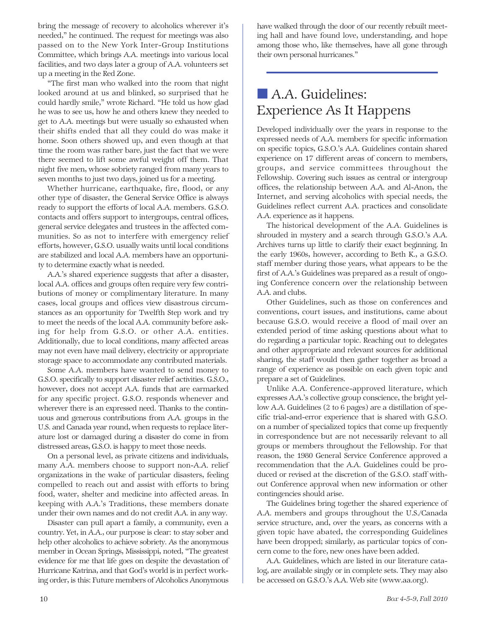bring the message of recovery to alcoholics wherever it's needed," he continued. The request for meetings was also passed on to the New York Inter-Group Institutions Committee, which brings A.A. meetings into various local facilities, and two days later a group of A.A. volunteers set up a meeting in the Red Zone.

"The first man who walked into the room that night looked around at us and blinked, so surprised that he could hardly smile," wrote Richard. "He told us how glad he was to see us, how he and others knew they needed to get to A.A. meetings but were usually so exhausted when their shifts ended that all they could do was make it home. Soon others showed up, and even though at that time the room was rather bare, just the fact that we were there seemed to lift some awful weight off them. That night five men, whose sobriety ranged from many years to seven months to just two days, joined us for a meeting.

Whether hurricane, earthquake, fire, flood, or any other type of disaster, the General Service Office is always ready to support the efforts of local A.A. members. G.S.O. contacts and offers support to intergroups, central offices, general service delegates and trustees in the affected communities. So as not to interfere with emergency relief efforts, however, G.S.O. usually waits until local conditions are stabilized and local A.A. members have an opportunity to determine exactly what is needed.

A.A.'s shared experience suggests that after a disaster, local A.A. offices and groups often require very few contributions of money or complimentary literature. In many cases, local groups and offices view disastrous circumstances as an opportunity for Twelfth Step work and try to meet the needs of the local A.A. community before asking for help from G.S.O. or other A.A. entities. Additionally, due to local conditions, many affected areas may not even have mail delivery, electricity or appropriate storage space to accommodate any contributed materials.

Some A.A. members have wanted to send money to G.S.O. specifically to support disaster relief activities. G.S.O., however, does not accept A.A. funds that are earmarked for any specific project. G.S.O. responds whenever and wherever there is an expressed need. Thanks to the continuous and generous contributions from A.A. groups in the U.S. and Canada year round, when requests to replace literature lost or damaged during a disaster do come in from distressed areas, G.S.O. is happy to meet those needs.

On a personal level, as private citizens and individuals, many A.A. members choose to support non-A.A. relief organizations in the wake of particular disasters, feeling compelled to reach out and assist with efforts to bring food, water, shelter and medicine into affected areas. In keeping with A.A.'s Traditions, these members donate under their own names and do not credit A.A. in any way.

Disaster can pull apart a family, a community, even a country. Yet, in A.A., our purpose is clear: to stay sober and help other alcoholics to achieve sobriety. As the anonymous member in Ocean Springs, Mississippi, noted, "The greatest evidence for me that life goes on despite the devastation of Hurricane Katrina, and that God's world is in perfect working order, is this: Future members of Alcoholics Anonymous have walked through the door of our recently rebuilt meeting hall and have found love, understanding, and hope among those who, like themselves, have all gone through their own personal hurricanes."

# ■ A.A. Guidelines: Experience As It Happens

Developed individually over the years in response to the expressed needs of A.A. members for specific information on specific topics, G.S.O.'s A.A. Guidelines contain shared experience on 17 different areas of concern to members, groups, and service committees throughout the Fellowship. Covering such issues as central or intergroup offices, the relationship between A.A. and Al-Anon, the Internet, and serving alcoholics with special needs, the Guidelines reflect current A.A. practices and consolidate A.A. experience as it happens.

The historical development of the A.A. Guidelines is shrouded in mystery and a search through G.S.O.'s A.A. Archives turns up little to clarify their exact beginning. In the early 1960s, however, according to Beth K., a G.S.O. staff member during those years, what appears to be the first of A.A.'s Guidelines was prepared as a result of ongoing Conference concern over the relationship between A.A. and clubs.

Other Guidelines, such as those on conferences and conventions, court issues, and institutions, came about because G.S.O. would receive a flood of mail over an extended period of time asking questions about what to do regarding a particular topic. Reaching out to delegates and other appropriate and relevant sources for additional sharing, the staff would then gather together as broad a range of experience as possible on each given topic and prepare a set of Guidelines.

Unlike A.A. Conference-approved literature, which expresses A.A.'s collective group conscience, the bright yellow A.A. Guidelines (2 to 6 pages) are a distillation of specific trial-and-error experience that is shared with G.S.O. on a number of specialized topics that come up frequently in correspondence but are not necessarily relevant to all groups or members throughout the Fellowship. For that reason, the 1980 General Service Conference approved a recommendation that the A.A. Guidelines could be produced or revised at the discretion of the G.S.O. staff without Conference approval when new information or other contingencies should arise.

The Guidelines bring together the shared experience of A.A. members and groups throughout the U.S./Canada service structure, and, over the years, as concerns with a given topic have abated, the corresponding Guidelines have been dropped; similarly, as particular topics of concern come to the fore, new ones have been added.

A.A. Guidelines, which are listed in our literature catalog, are available singly or in complete sets. They may also be accessed on G.S.O.'s A.A. Web site (www.aa.org).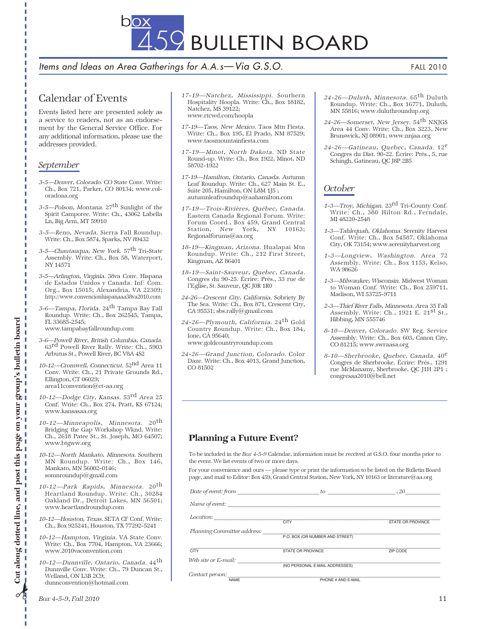459 BULLETIN BOARD

Items and Ideas on Area Gatherings for A.A.s - Via G.S.O. FALL 2010

### Calendar of Events

Events listed here are presented solely as a service to readers, not as an endorsement by the General Service Office. For any additional information, please use the addresses provided.

#### *September*

Г

Г

- 3-5—Denver, Colorado. CO State Conv. Write: Ch., Box 721, Parker, CO 80134; www.coloradoaa.org
- 3-5—Polson, Montana.  $27<sup>th</sup>$  Sunlight of the Spirit Camporee. Write: Ch., 43062 Labella Ln, Big Arm, MT 59910
- 3-5—Reno, Nevada. Sierra Fall Roundup. Write: Ch., Box 5874, Sparks, NV 89432
- 3-5—Chautauqua, New York. 57<sup>th</sup> Tri-State Assembly. Write: Ch., Box 58, Waterport, NY 14571
- 3-5—Arlington, Virginia. 38va Conv. Hispana de Estados Unidos y Canada. Inf: Com. Org., Box 15015; Alexandria, VA 22309; http://www.convencionhispanaaa38va2010.com
- 3-6—Tampa, Florida. 24<sup>th</sup> Tampa Bay Fall Roundup. Write: Ch., Box 262545, Tampa, FL 33685-2545;
	- www.tampabayfallroundup.com
- 3-6—Powell River, British Columbia, Canada. 63rd Powell River Rally. Write: Ch., 5903 Arbutus St., Powell River, BC V8A 4S2
- 10-12—Cromwell, Connecticut. 52nd Area 11 Conv. Write: Ch., 21 Private Grounds Rd., Ellington, CT 06029; area11convention@ct-aa.org
- 10-12—Dodge City, Kansas. 53rd Area 25 Conf. Write: Ch., Box 274, Pratt, KS 67124; www.kansasaa.org
- 10-12—Minneapolis, Minnesota. 20th Bridging the Gap Workshop Wknd. Write: Ch., 2618 Patee St., St. Joseph, MO 64507; www.btgww.org
- 10-12—North Mankato, Minnesota. Southern MN Roundup. Write: Ch., Box 146, Mankato, MN 56002-0146; somnroundup@gmail.com
- 10-12—Park Rapids, Minnesota. 20<sup>th</sup> Heartland Roundup. Write: Ch., 30284 Oakland Dr., Detroit Lakes, MN 56501; www.heartlandroundup.com
- 10-12—Houston, Texas. SETA CF Conf. Write: Ch., Box 925241, Houston, TX 77292-5241
- 10-12—Hampton, Virginia. VA State Conv. Write: Ch., Box 7704, Hampton, VA 23666; www.2010vaconvention.com
- 10-12—Dunnville, Ontario, Canada. 44th Dunnville Conv. Write: Ch., 79 Duncan St., Welland, ON L3B 2C9; dunnconvention@hotmail.com
- 17-19—Natchez, Mississippi. Southern Hospitality Hoopla. Write: Ch., Box 18182, Natchez, MS 39122; www.rtcwd.com/hoopla
- 17-19—Taos, New Mexico. Taos Mtn Fiesta. Write: Ch., Box 195, El Prado, NM 87529; www.taosmountainfiesta.com
- 17-19—Minot, North Dakota. ND State Round-up. Write: Ch., Box 1922, Minot, ND 58702-1922
- 17-19—Hamilton, Ontario, Canada. Autumn Leaf Roundup. Write: Ch., 627 Main St. E., Suite 205, Hamilton, ON L8M 1J5 ; autumnleafroundup@aahamilton.com
- 17-19—Trois-Rivières, Québec, Canada. Eastern Canada Regional Forum. Write: Forum Coord., Box 459, Grand Central Station, New York, NY 10163; Regionalforums@aa.org
- 18-19—Kingman, Arizona. Hualapai Mtn Roundup. Write: Ch., 212 First Street, Kingman, AZ 86401
- 18-19—Saint-Sauveur, Quebec, Canada. Congres du 90-25. Écrire: Prés., 33 rue de l'Eglise, St. Sauveur, QC J0R 1R0
- 24-26—Crescent City, California. Sobriety By The Sea. Write: Ch., Box 871, Crescent City, CA 95531; sbs.rally@gmail.com
- 24-26—Plymouth, California. 24<sup>th</sup> Gold Country Roundup. Write: Ch., Box 184, Ione, CA 95640; www.goldcountryroundup.com
- 24-26—Grand Junction, Colorado. Color Daze. Write: Ch., Box 4013, Grand Junction, CO 81502
- *24-26—Duluth, Minnesota.* 65<sup>th</sup> Duluth Roundup. Write: Ch., Box 16771, Duluth, MN 55816; www.duluthroundup.org
- *24-26—Somerset, New Jersey.* 54<sup>th</sup> NNJGS Area 44 Conv. Write: Ch., Box 3223, New Brunswick, NJ 08901; www.nnjaa.org
- 24-26—Gatineau, Quebec, Canada. 12<sup>e</sup> Congres du Dist. 90-22. Écrire: Prés., 5, rue Schingh, Gatineau, QC J8P 2B5

#### *October*

- 1-3—Troy, Michigan. 23<sup>rd</sup> Tri-County Conf. Write: Ch., 380 Hilton Rd., Ferndale, MI 48220-2548
- 1-3—Tahlequah, Oklahoma. Serenity Harvest Conf. Write: Ch., Box 54587, Oklahoma City, OK 73154; www.serenityharvest.org
- 1-3—Longview, Washington. Area 72 Assembly. Write: Ch., Box 1153, Kelso, WA 98626
- 1-3—Milwaukee, Wisconsin. Midwest Woman to Woman Conf. Write: Ch., Box 259711, Madison, WI 53725-9711
- 2-3—Thief River Falls, Minnesota. Area 35 Fall Assembly. Write: Ch.,  $1921$  E.  $21<sup>st</sup>$  St., Hibbing, MN 555746
- 8-10—Denver, Colorado. SW Reg. Service Assembly. Write: Ch., Box 603, Canon City, CO 81215; www.swraasa.org
- 8-10—Sherbrooke, Quebec, Canada. 40e Congres de Sherbrooke. Écrire: Prés., 1291 rue McManamy, Sherbrooke, QC J1H 2P1 ; congresaa2010@bell.net

#### Planning a Future Event?

To be included in the *Box 4-5-9* Calendar, information must be received at G.S.O. four months prior to the event. We list events of two or more days.

For your convenience and ours — please type or print the information to be listed on the Bulletin Board page, and mail to Editor: Box 459, Grand Central Station, New York, NY 10163 or literature@aa.org

| Date of event: from            | , 20<br>to                      |                          |
|--------------------------------|---------------------------------|--------------------------|
| Name of event:                 |                                 |                          |
| Location:                      | CITY                            | <b>STATE OR PROVINCE</b> |
| Planning Committee address:    | P.O. BOX (OR NUMBER AND STREET) |                          |
| CITY                           | <b>STATE OR PROVINCE</b>        | ZIP CODE                 |
| Web site or E-mail:            | (NO PERSONAL E-MAIL ADDRESSES)  |                          |
| Contact person:<br><b>NAME</b> | PHONE # AND E-MAIL              |                          |